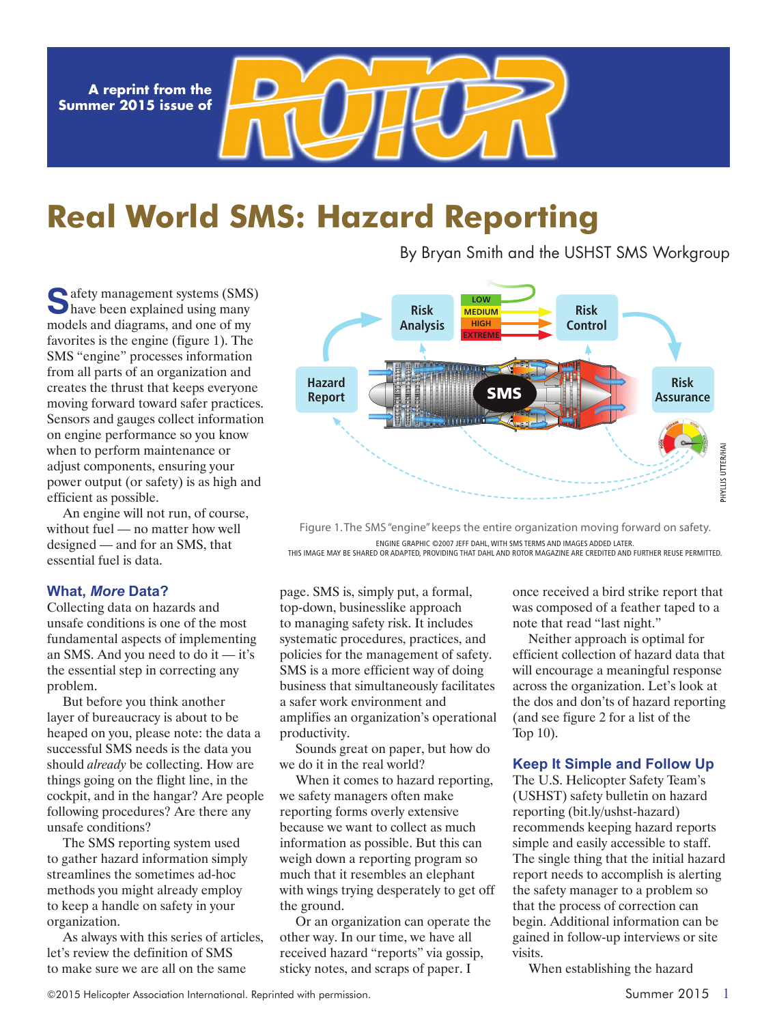**A reprint from the Summer 2015 issue of**

# **Real World SMS: Hazard Reporting**

By Bryan Smith and the USHST SMS Workgroup

**C**afety management systems (SMS) have been explained using many models and diagrams, and one of my favorites is the engine (figure 1). The SMS "engine" processes information from all parts of an organization and creates the thrust that keeps everyone moving forward toward safer practices. Sensors and gauges collect information on engine performance so you know when to perform maintenance or adjust components, ensuring your power output (or safety) is as high and efficient as possible.

An engine will not run, of course, without fuel — no matter how well designed — and for an SMS, that essential fuel is data.

### **What,** *More* **Data?**

Collecting data on hazards and unsafe conditions is one of the most fundamental aspects of implementing an SMS. And you need to do it — it's the essential step in correcting any problem.

But before you think another layer of bureaucracy is about to be heaped on you, please note: the data a successful SMS needs is the data you should *already* be collecting. How are things going on the flight line, in the cockpit, and in the hangar? Are people following procedures? Are there any unsafe conditions?

The SMS reporting system used to gather hazard information simply streamlines the sometimes ad-hoc methods you might already employ to keep a handle on safety in your organization.

As always with this series of articles, let's review the definition of SMS to make sure we are all on the same

page. SMS is, simply put, a formal, top-down, businesslike approach to managing safety risk. It includes systematic procedures, practices, and policies for the management of safety. SMS is a more efficient way of doing business that simultaneously facilitates a safer work environment and amplifies an organization's operational productivity.

Sounds great on paper, but how do we do it in the real world?

When it comes to hazard reporting, we safety managers often make reporting forms overly extensive because we want to collect as much information as possible. But this can weigh down a reporting program so much that it resembles an elephant with wings trying desperately to get off the ground.

Or an organization can operate the other way. In our time, we have all received hazard "reports" via gossip, sticky notes, and scraps of paper. I

once received a bird strike report that was composed of a feather taped to a note that read "last night."

Neither approach is optimal for efficient collection of hazard data that will encourage a meaningful response across the organization. Let's look at the dos and don'ts of hazard reporting (and see figure 2 for a list of the Top 10).

### **Keep It Simple and Follow Up**

The U.S. Helicopter Safety Team's (USHST) safety bulletin on hazard reporting (bit.ly/ushst-hazard) recommends keeping hazard reports simple and easily accessible to staff. The single thing that the initial hazard report needs to accomplish is alerting the safety manager to a problem so that the process of correction can begin. Additional information can be gained in follow-up interviews or site visits.

When establishing the hazard



Figure 1. The SMS "engine" keeps the entire organization moving forward on safety. ENGINE GRAPHIC ©2007 JEFF DAHL, WITH SMS TERMS AND IMAGES ADDED LATER. THIS IMAGE MAY BE SHARED OR ADAPTED, PROVIDING THAT DAHL AND ROTOR MAGAZINE ARE CREDITED AND FURTHER REUSE PERMITTED.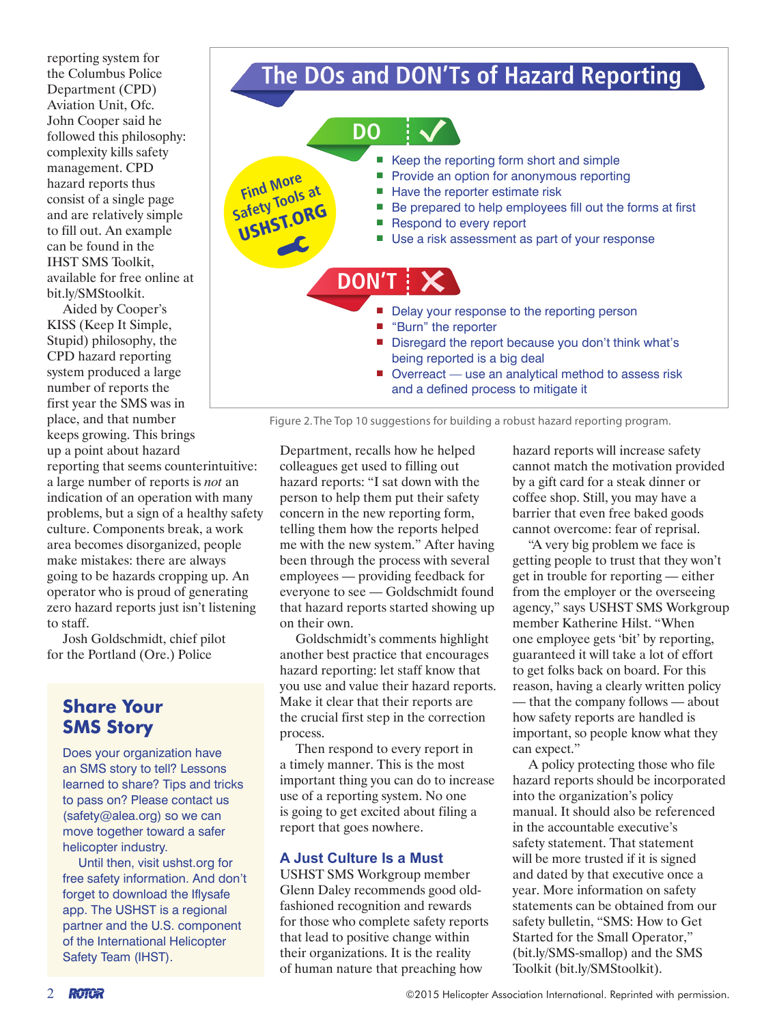reporting system for the Columbus Police Department (CPD) Aviation Unit, Ofc. John Cooper said he followed this philosophy: complexity kills safety management. CPD hazard reports thus consist of a single page and are relatively simple to fill out. An example can be found in the IHST SMS Toolkit, available for free online at bit.ly/SMStoolkit.

Aided by Cooper's KISS (Keep It Simple, Stupid) philosophy, the CPD hazard reporting system produced a large number of reports the first year the SMS was in place, and that number keeps growing. This brings up a point about hazard reporting that seems counterintuitive: a large number of reports is *not* an indication of an operation with many problems, but a sign of a healthy safety culture. Components break, a work area becomes disorganized, people make mistakes: there are always going to be hazards cropping up. An operator who is proud of generating zero hazard reports just isn't listening to staff.

Josh Goldschmidt, chief pilot for the Portland (Ore.) Police

### **Share Your SMS Story**

Does your organization have an SMS story to tell? Lessons learned to share? Tips and tricks to pass on? Please contact us (safety@alea.org) so we can move together toward a safer helicopter industry.

Until then, visit ushst.org for free safety information. And don't forget to download the Iflysafe app. The USHST is a regional partner and the U.S. component of the International Helicopter Safety Team (IHST).

## **The DOs and DON'Ts of Hazard Reporting**



Figure 2. The Top 10 suggestions for building a robust hazard reporting program.

Department, recalls how he helped colleagues get used to filling out hazard reports: "I sat down with the person to help them put their safety concern in the new reporting form, telling them how the reports helped me with the new system." After having been through the process with several employees — providing feedback for everyone to see — Goldschmidt found that hazard reports started showing up on their own.

Goldschmidt's comments highlight another best practice that encourages hazard reporting: let staff know that you use and value their hazard reports. Make it clear that their reports are the crucial first step in the correction process.

Then respond to every report in a timely manner. This is the most important thing you can do to increase use of a reporting system. No one is going to get excited about filing a report that goes nowhere.

### **A Just Culture Is a Must**

USHST SMS Workgroup member Glenn Daley recommends good oldfashioned recognition and rewards for those who complete safety reports that lead to positive change within their organizations. It is the reality of human nature that preaching how

hazard reports will increase safety cannot match the motivation provided by a gift card for a steak dinner or coffee shop. Still, you may have a barrier that even free baked goods cannot overcome: fear of reprisal.

"A very big problem we face is getting people to trust that they won't get in trouble for reporting — either from the employer or the overseeing agency," says USHST SMS Workgroup member Katherine Hilst. "When one employee gets 'bit' by reporting, guaranteed it will take a lot of effort to get folks back on board. For this reason, having a clearly written policy — that the company follows — about how safety reports are handled is important, so people know what they can expect."

A policy protecting those who file hazard reports should be incorporated into the organization's policy manual. It should also be referenced in the accountable executive's safety statement. That statement will be more trusted if it is signed and dated by that executive once a year. More information on safety statements can be obtained from our safety bulletin, "SMS: How to Get Started for the Small Operator," (bit.ly/SMS-smallop) and the SMS Toolkit (bit.ly/SMStoolkit).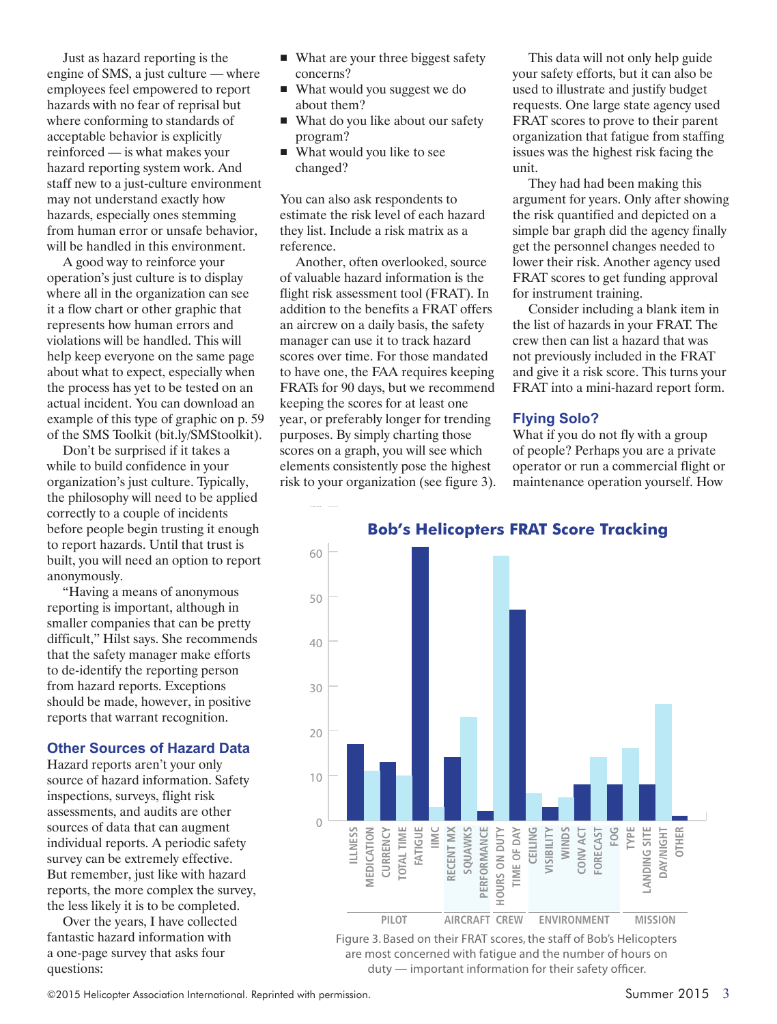Just as hazard reporting is the engine of SMS, a just culture — where employees feel empowered to report hazards with no fear of reprisal but where conforming to standards of acceptable behavior is explicitly reinforced — is what makes your hazard reporting system work. And staff new to a just-culture environment may not understand exactly how hazards, especially ones stemming from human error or unsafe behavior, will be handled in this environment.

A good way to reinforce your operation's just culture is to display where all in the organization can see it a flow chart or other graphic that represents how human errors and violations will be handled. This will help keep everyone on the same page about what to expect, especially when the process has yet to be tested on an actual incident. You can download an example of this type of graphic on p. 59 of the SMS Toolkit (bit.ly/SMStoolkit).

Don't be surprised if it takes a while to build confidence in your organization's just culture. Typically, the philosophy will need to be applied correctly to a couple of incidents before people begin trusting it enough to report hazards. Until that trust is built, you will need an option to report anonymously.

"Having a means of anonymous reporting is important, although in smaller companies that can be pretty difficult," Hilst says. She recommends that the safety manager make efforts to de-identify the reporting person from hazard reports. Exceptions should be made, however, in positive reports that warrant recognition.

### **Other Sources of Hazard Data**

Hazard reports aren't your only source of hazard information. Safety inspections, surveys, flight risk assessments, and audits are other sources of data that can augment individual reports. A periodic safety survey can be extremely effective. But remember, just like with hazard reports, the more complex the survey, the less likely it is to be completed.

Over the years, I have collected fantastic hazard information with a one-page survey that asks four questions:

- What are your three biggest safety concerns?
- What would you suggest we do about them?
- What do you like about our safety program?
- What would you like to see changed?

You can also ask respondents to estimate the risk level of each hazard they list. Include a risk matrix as a reference.

Another, often overlooked, source of valuable hazard information is the flight risk assessment tool (FRAT). In addition to the benefits a FRAT offers an aircrew on a daily basis, the safety manager can use it to track hazard scores over time. For those mandated to have one, the FAA requires keeping FRATs for 90 days, but we recommend keeping the scores for at least one year, or preferably longer for trending purposes. By simply charting those scores on a graph, you will see which elements consistently pose the highest risk to your organization (see figure 3).

This data will not only help guide your safety efforts, but it can also be used to illustrate and justify budget requests. One large state agency used FRAT scores to prove to their parent organization that fatigue from staffing issues was the highest risk facing the unit.

They had had been making this argument for years. Only after showing the risk quantified and depicted on a simple bar graph did the agency finally get the personnel changes needed to lower their risk. Another agency used FRAT scores to get funding approval for instrument training.

Consider including a blank item in the list of hazards in your FRAT. The crew then can list a hazard that was not previously included in the FRAT and give it a risk score. This turns your FRAT into a mini-hazard report form.

### **Flying Solo?**

What if you do not fly with a group of people? Perhaps you are a private operator or run a commercial flight or maintenance operation yourself. How



**Bob's Helicopters FRAT Score Tracking**